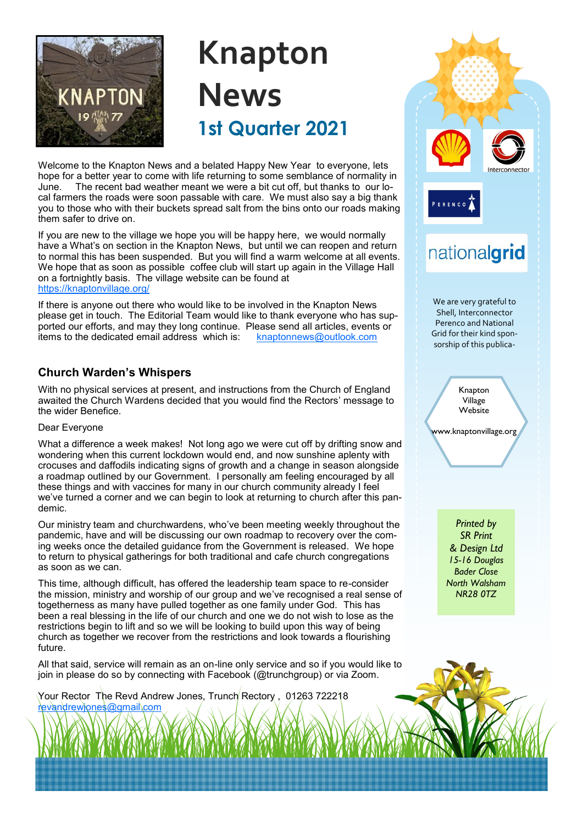

# **Knapton News 1st Quarter 2021**

Welcome to the Knapton News and a belated Happy New Year to everyone, lets hope for a better year to come with life returning to some semblance of normality in June. The recent bad weather meant we were a bit cut off, but thanks to our local farmers the roads were soon passable with care. We must also say a big thank you to those who with their buckets spread salt from the bins onto our roads making them safer to drive on.

If you are new to the village we hope you will be happy here, we would normally have a What's on section in the Knapton News, but until we can reopen and return to normal this has been suspended. But you will find a warm welcome at all events. We hope that as soon as possible coffee club will start up again in the Village Hall on a fortnightly basis. The village website can be found at <https://knaptonvillage.org/>

If there is anyone out there who would like to be involved in the Knapton News please get in touch. The Editorial Team would like to thank everyone who has supported our efforts, and may they long continue. Please send all articles, events or items to the dedicated email address which is: [knaptonnews@outlook.com](mailto:knaptonnews@outlook.com)

### **Church Warden's Whispers**

With no physical services at present, and instructions from the Church of England awaited the Church Wardens decided that you would find the Rectors' message to the wider Benefice.

### Dear Everyone

What a difference a week makes! Not long ago we were cut off by drifting snow and wondering when this current lockdown would end, and now sunshine aplenty with crocuses and daffodils indicating signs of growth and a change in season alongside a roadmap outlined by our Government. I personally am feeling encouraged by all these things and with vaccines for many in our church community already I feel we've turned a corner and we can begin to look at returning to church after this pandemic.

Our ministry team and churchwardens, who've been meeting weekly throughout the pandemic, have and will be discussing our own roadmap to recovery over the coming weeks once the detailed guidance from the Government is released. We hope to return to physical gatherings for both traditional and cafe church congregations as soon as we can.

This time, although difficult, has offered the leadership team space to re-consider the mission, ministry and worship of our group and we've recognised a real sense of togetherness as many have pulled together as one family under God. This has been a real blessing in the life of our church and one we do not wish to lose as the restrictions begin to lift and so we will be looking to build upon this way of being church as together we recover from the restrictions and look towards a flourishing future.

All that said, service will remain as an on-line only service and so if you would like to join in please do so by connecting with Facebook (@trunchgroup) or via Zoom.

Your Rector The Revd Andrew Jones, Trunch Rectory, 01263 722218 [revandrewjones@gmail.com](mailto:revandrewjones@gmail.com)

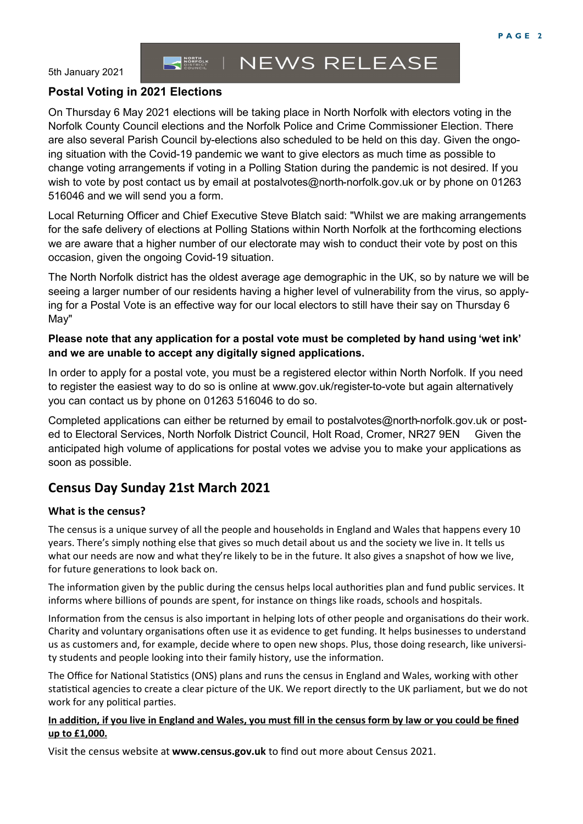5th January 2021

#### **NEWS RELEASE** NORTH<br>MORFOLK<br>COUNCIL

### **Postal Voting in 2021 Elections**

On Thursday 6 May 2021 elections will be taking place in North Norfolk with electors voting in the Norfolk County Council elections and the Norfolk Police and Crime Commissioner Election. There are also several Parish Council by-elections also scheduled to be held on this day. Given the ongoing situation with the Covid-19 pandemic we want to give electors as much time as possible to change voting arrangements if voting in a Polling Station during the pandemic is not desired. If you wish to vote by post contact us by email at postalvotes@north-norfolk.gov.uk or by phone on 01263 516046 and we will send you a form.

Local Returning Officer and Chief Executive Steve Blatch said: "Whilst we are making arrangements for the safe delivery of elections at Polling Stations within North Norfolk at the forthcoming elections we are aware that a higher number of our electorate may wish to conduct their vote by post on this occasion, given the ongoing Covid-19 situation.

The North Norfolk district has the oldest average age demographic in the UK, so by nature we will be seeing a larger number of our residents having a higher level of vulnerability from the virus, so applying for a Postal Vote is an effective way for our local electors to still have their say on Thursday 6 May"

### **Please note that any application for a postal vote must be completed by hand using 'wet ink' and we are unable to accept any digitally signed applications.**

In order to apply for a postal vote, you must be a registered elector within North Norfolk. If you need to register the easiest way to do so is online at www.gov.uk/register-to-vote but again alternatively you can contact us by phone on 01263 516046 to do so.

Completed applications can either be returned by email to postalvotes@north-norfolk.gov.uk or posted to Electoral Services, North Norfolk District Council, Holt Road, Cromer, NR27 9EN Given the anticipated high volume of applications for postal votes we advise you to make your applications as soon as possible.

### **Census Day Sunday 21st March 2021**

### **What is the census?**

The census is a unique survey of all the people and households in England and Wales that happens every 10 years. There's simply nothing else that gives so much detail about us and the society we live in. It tells us what our needs are now and what they're likely to be in the future. It also gives a snapshot of how we live, for future generations to look back on.

The information given by the public during the census helps local authorities plan and fund public services. It informs where billions of pounds are spent, for instance on things like roads, schools and hospitals.

Information from the census is also important in helping lots of other people and organisations do their work. Charity and voluntary organisations often use it as evidence to get funding. It helps businesses to understand us as customers and, for example, decide where to open new shops. Plus, those doing research, like university students and people looking into their family history, use the information.

The Office for National Statistics (ONS) plans and runs the census in England and Wales, working with other statistical agencies to create a clear picture of the UK. We report directly to the UK parliament, but we do not work for any political parties.

### **In addition, if you live in England and Wales, you must fill in the census form by law or you could be fined up to £1,000.**

Visit the census website at **www.census.gov.uk** to find out more about Census 2021.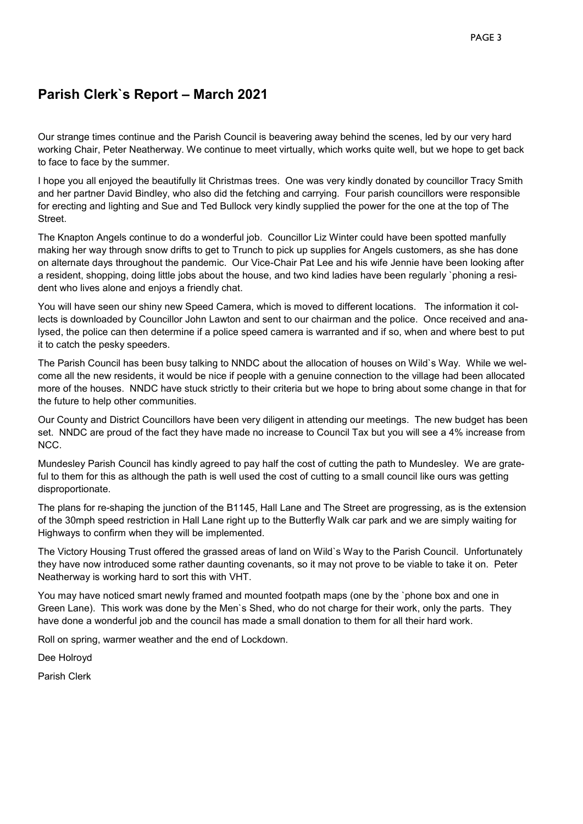### **Parish Clerk`s Report – March 2021**

Our strange times continue and the Parish Council is beavering away behind the scenes, led by our very hard working Chair, Peter Neatherway. We continue to meet virtually, which works quite well, but we hope to get back to face to face by the summer.

I hope you all enjoyed the beautifully lit Christmas trees. One was very kindly donated by councillor Tracy Smith and her partner David Bindley, who also did the fetching and carrying. Four parish councillors were responsible for erecting and lighting and Sue and Ted Bullock very kindly supplied the power for the one at the top of The Street.

The Knapton Angels continue to do a wonderful job. Councillor Liz Winter could have been spotted manfully making her way through snow drifts to get to Trunch to pick up supplies for Angels customers, as she has done on alternate days throughout the pandemic. Our Vice-Chair Pat Lee and his wife Jennie have been looking after a resident, shopping, doing little jobs about the house, and two kind ladies have been regularly `phoning a resident who lives alone and enjoys a friendly chat.

You will have seen our shiny new Speed Camera, which is moved to different locations. The information it collects is downloaded by Councillor John Lawton and sent to our chairman and the police. Once received and analysed, the police can then determine if a police speed camera is warranted and if so, when and where best to put it to catch the pesky speeders.

The Parish Council has been busy talking to NNDC about the allocation of houses on Wild`s Way. While we welcome all the new residents, it would be nice if people with a genuine connection to the village had been allocated more of the houses. NNDC have stuck strictly to their criteria but we hope to bring about some change in that for the future to help other communities.

Our County and District Councillors have been very diligent in attending our meetings. The new budget has been set. NNDC are proud of the fact they have made no increase to Council Tax but you will see a 4% increase from NCC.

Mundesley Parish Council has kindly agreed to pay half the cost of cutting the path to Mundesley. We are grateful to them for this as although the path is well used the cost of cutting to a small council like ours was getting disproportionate.

The plans for re-shaping the junction of the B1145, Hall Lane and The Street are progressing, as is the extension of the 30mph speed restriction in Hall Lane right up to the Butterfly Walk car park and we are simply waiting for Highways to confirm when they will be implemented.

The Victory Housing Trust offered the grassed areas of land on Wild`s Way to the Parish Council. Unfortunately they have now introduced some rather daunting covenants, so it may not prove to be viable to take it on. Peter Neatherway is working hard to sort this with VHT.

You may have noticed smart newly framed and mounted footpath maps (one by the `phone box and one in Green Lane). This work was done by the Men`s Shed, who do not charge for their work, only the parts. They have done a wonderful job and the council has made a small donation to them for all their hard work.

Roll on spring, warmer weather and the end of Lockdown.

Dee Holroyd

Parish Clerk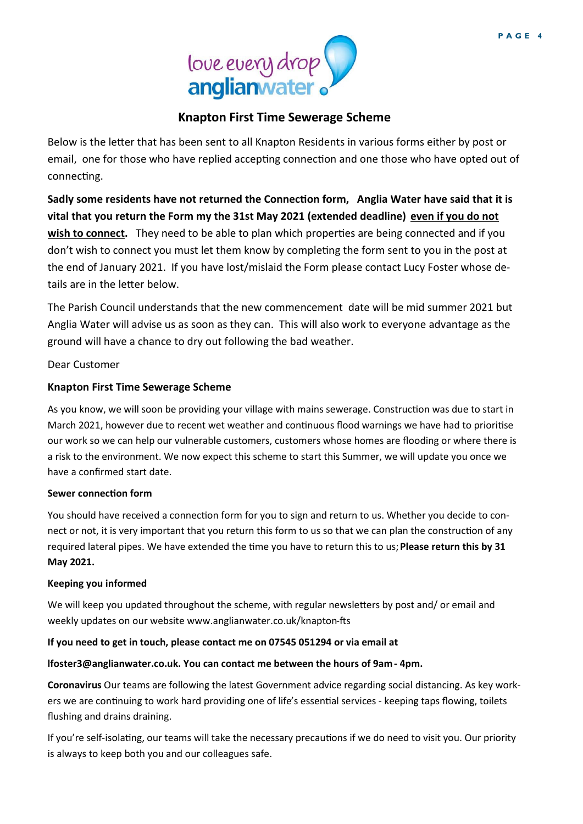

### **Knapton First Time Sewerage Scheme**

Below is the letter that has been sent to all Knapton Residents in various forms either by post or email, one for those who have replied accepting connection and one those who have opted out of connecting.

**Sadly some residents have not returned the Connection form, Anglia Water have said that it is vital that you return the Form my the 31st May 2021 (extended deadline) even if you do not wish to connect.** They need to be able to plan which properties are being connected and if you don't wish to connect you must let them know by completing the form sent to you in the post at the end of January 2021. If you have lost/mislaid the Form please contact Lucy Foster whose details are in the letter below.

The Parish Council understands that the new commencement date will be mid summer 2021 but Anglia Water will advise us as soon as they can. This will also work to everyone advantage as the ground will have a chance to dry out following the bad weather.

Dear Customer

### **Knapton First Time Sewerage Scheme**

As you know, we will soon be providing your village with mains sewerage. Construction was due to start in March 2021, however due to recent wet weather and continuous flood warnings we have had to prioritise our work so we can help our vulnerable customers, customers whose homes are flooding or where there is a risk to the environment. We now expect this scheme to start this Summer, we will update you once we have a confirmed start date.

#### **Sewer connection form**

You should have received a connection form for you to sign and return to us. Whether you decide to connect or not, it is very important that you return this form to us so that we can plan the construction of any required lateral pipes. We have extended the time you have to return this to us; **Please return this by 31 May 2021.** 

#### **Keeping you informed**

We will keep you updated throughout the scheme, with regular newsletters by post and/ or email and weekly updates on our website www.anglianwater.co.uk/knapton-fts

### **If you need to get in touch, please contact me on 07545 051294 or via email at**

### **lfoster3@anglianwater.co.uk. You can contact me between the hours of 9am - 4pm.**

**Coronavirus** Our teams are following the latest Government advice regarding social distancing. As key workers we are continuing to work hard providing one of life's essential services - keeping taps flowing, toilets flushing and drains draining.

If you're self-isolating, our teams will take the necessary precautions if we do need to visit you. Our priority is always to keep both you and our colleagues safe.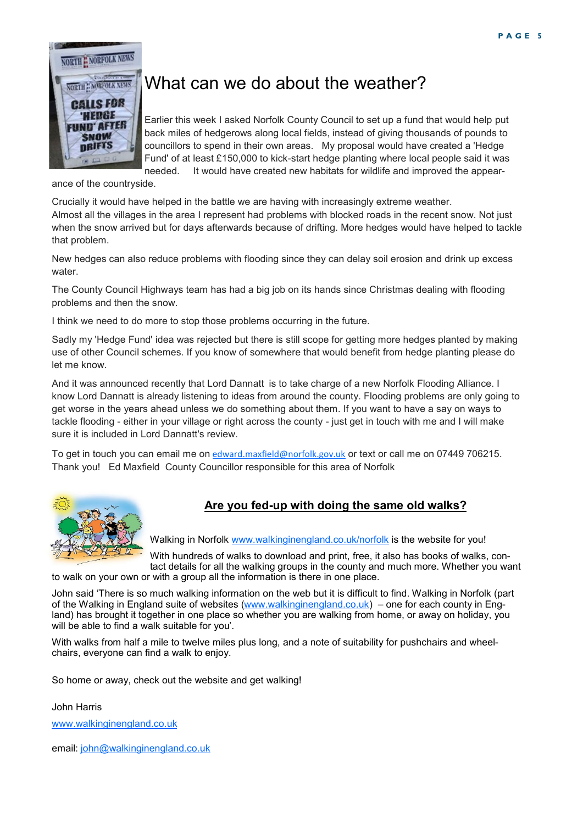

### What can we do about the weather?

Earlier this week I asked Norfolk County Council to set up a fund that would help put back miles of hedgerows along local fields, instead of giving thousands of pounds to councillors to spend in their own areas. My proposal would have created a 'Hedge Fund' of at least £150,000 to kick-start hedge planting where local people said it was needed. It would have created new habitats for wildlife and improved the appear-

ance of the countryside.

Crucially it would have helped in the battle we are having with increasingly extreme weather. Almost all the villages in the area I represent had problems with blocked roads in the recent snow. Not just when the snow arrived but for days afterwards because of drifting. More hedges would have helped to tackle that problem.

New hedges can also reduce problems with flooding since they can delay soil erosion and drink up excess water.

The County Council Highways team has had a big job on its hands since Christmas dealing with flooding problems and then the snow.

I think we need to do more to stop those problems occurring in the future.

Sadly my 'Hedge Fund' idea was rejected but there is still scope for getting more hedges planted by making use of other Council schemes. If you know of somewhere that would benefit from hedge planting please do let me know.

And it was announced recently that Lord Dannatt is to take charge of a new Norfolk Flooding Alliance. I know Lord Dannatt is already listening to ideas from around the county. Flooding problems are only going to get worse in the years ahead unless we do something about them. If you want to have a say on ways to tackle flooding - either in your village or right across the county - just get in touch with me and I will make sure it is included in Lord Dannatt's review.

To get in touch you can email me on [edward.maxfield@norfolk.gov.uk](mailto:edward.maxfield@norfolk.gov.uk) or text or call me on 07449 706215. Thank you! Ed Maxfield County Councillor responsible for this area of Norfolk



### **Are you fed-up with doing the same old walks?**

Walking in Norfolk [www.walkinginengland.co.uk/norfolk](http://www.walkinginengland.co.uk/norfolk) is the website for you!

With hundreds of walks to download and print, free, it also has books of walks, contact details for all the walking groups in the county and much more. Whether you want to walk on your own or with a group all the information is there in one place.

John said 'There is so much walking information on the web but it is difficult to find. Walking in Norfolk (part of the Walking in England suite of websites [\(www.walkinginengland.co.uk](http://www.walkinginengland.co.uk)) – one for each county in England) has brought it together in one place so whether you are walking from home, or away on holiday, you will be able to find a walk suitable for you'.

With walks from half a mile to twelve miles plus long, and a note of suitability for pushchairs and wheelchairs, everyone can find a walk to enjoy.

So home or away, check out the website and get walking!

John Harris

[www.walkinginengland.co.uk](http://www.walkinginengland.co.uk)

email: [john@walkinginengland.co.uk](mailto:john@walkinginengland.co.uk)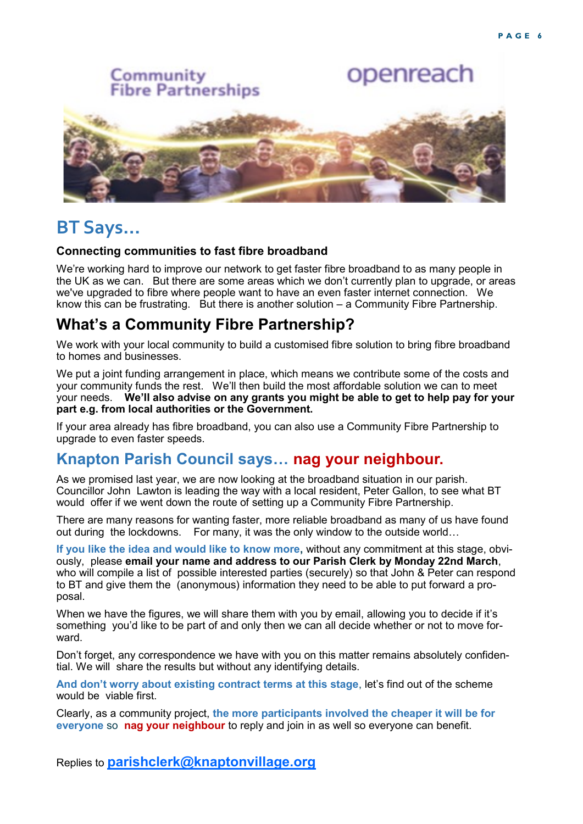

### **BT Says…**

### **Connecting communities to fast fibre broadband**

We're working hard to improve our network to get faster fibre broadband to as many people in the UK as we can. But there are some areas which we don't currently plan to upgrade, or areas we've upgraded to fibre where people want to have an even faster internet connection. We know this can be frustrating. But there is another solution – a Community Fibre Partnership.

### **What's a Community Fibre Partnership?**

We work with your local community to build a customised fibre solution to bring fibre broadband to homes and businesses.

We put a joint funding arrangement in place, which means we contribute some of the costs and your community funds the rest. We'll then build the most affordable solution we can to meet your needs. **We'll also advise on any grants you might be able to get to help pay for your part e.g. from local authorities or the Government.** 

If your area already has fibre broadband, you can also use a Community Fibre Partnership to upgrade to even faster speeds.

### **Knapton Parish Council says… nag your neighbour.**

As we promised last year, we are now looking at the broadband situation in our parish. Councillor John Lawton is leading the way with a local resident, Peter Gallon, to see what BT would offer if we went down the route of setting up a Community Fibre Partnership.

There are many reasons for wanting faster, more reliable broadband as many of us have found out during the lockdowns. For many, it was the only window to the outside world…

**If you like the idea and would like to know more,** without any commitment at this stage, obviously, please **email your name and address to our Parish Clerk by Monday 22nd March**, who will compile a list of possible interested parties (securely) so that John & Peter can respond to BT and give them the (anonymous) information they need to be able to put forward a proposal.

When we have the figures, we will share them with you by email, allowing you to decide if it's something you'd like to be part of and only then we can all decide whether or not to move forward.

Don't forget, any correspondence we have with you on this matter remains absolutely confidential. We will share the results but without any identifying details.

**And don't worry about existing contract terms at this stage**, let's find out of the scheme would be viable first.

Clearly, as a community project, **the more participants involved the cheaper it will be for everyone** so **nag your neighbour** to reply and join in as well so everyone can benefit.

Replies to **[parishclerk@knaptonvillage.org](mailto:parishclerk@knaptonvillage.org)**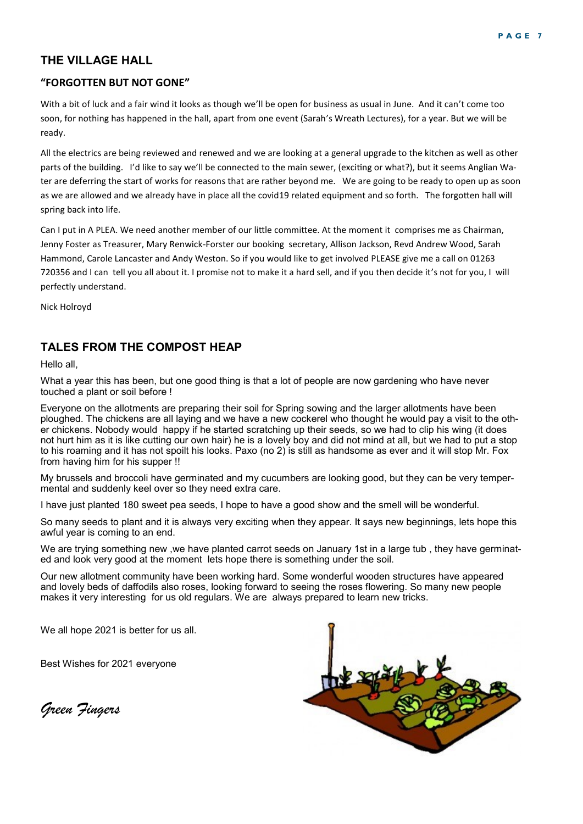### **THE VILLAGE HALL**

#### **"FORGOTTEN BUT NOT GONE"**

With a bit of luck and a fair wind it looks as though we'll be open for business as usual in June. And it can't come too soon, for nothing has happened in the hall, apart from one event (Sarah's Wreath Lectures), for a year. But we will be ready.

All the electrics are being reviewed and renewed and we are looking at a general upgrade to the kitchen as well as other parts of the building. I'd like to say we'll be connected to the main sewer, (exciting or what?), but it seems Anglian Water are deferring the start of works for reasons that are rather beyond me. We are going to be ready to open up as soon as we are allowed and we already have in place all the covid19 related equipment and so forth. The forgotten hall will spring back into life.

Can I put in A PLEA. We need another member of our little committee. At the moment it comprises me as Chairman, Jenny Foster as Treasurer, Mary Renwick-Forster our booking secretary, Allison Jackson, Revd Andrew Wood, Sarah Hammond, Carole Lancaster and Andy Weston. So if you would like to get involved PLEASE give me a call on 01263 720356 and I can tell you all about it. I promise not to make it a hard sell, and if you then decide it's not for you, I will perfectly understand.

Nick Holroyd

### **TALES FROM THE COMPOST HEAP**

Hello all,

What a year this has been, but one good thing is that a lot of people are now gardening who have never touched a plant or soil before !

Everyone on the allotments are preparing their soil for Spring sowing and the larger allotments have been ploughed. The chickens are all laying and we have a new cockerel who thought he would pay a visit to the other chickens. Nobody would happy if he started scratching up their seeds, so we had to clip his wing (it does not hurt him as it is like cutting our own hair) he is a lovely boy and did not mind at all, but we had to put a stop to his roaming and it has not spoilt his looks. Paxo (no 2) is still as handsome as ever and it will stop Mr. Fox from having him for his supper !!

My brussels and broccoli have germinated and my cucumbers are looking good, but they can be very tempermental and suddenly keel over so they need extra care.

I have just planted 180 sweet pea seeds, I hope to have a good show and the smell will be wonderful.

So many seeds to plant and it is always very exciting when they appear. It says new beginnings, lets hope this awful year is coming to an end.

We are trying something new ,we have planted carrot seeds on January [1st in a](http://1st.in) large tub , they have germinated and look very good at the moment lets hope there is something under the soil.

Our new allotment community have been working hard. Some wonderful wooden structures have appeared and lovely beds of daffodils also roses, looking forward to seeing the roses flowering. So many new people makes it very interesting for us old regulars. We are always prepared to learn new tricks.

We all hope 2021 is better for us all.

Best Wishes for 2021 everyone

*Green Fingers*